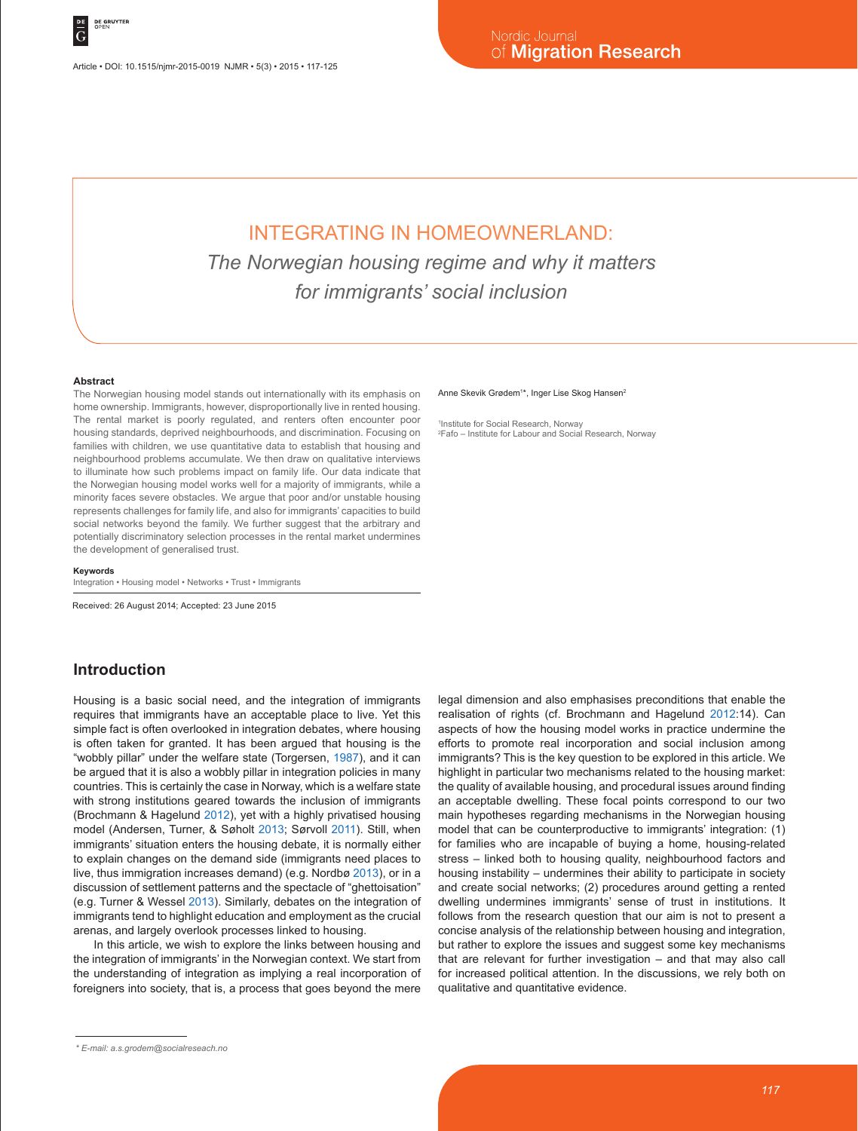# INTEGRATING IN HOMEOWNERLAND: *The Norwegian housing regime and why it matters for immigrants' social inclusion*

1 Institute for Social Research, Norway

2 Fafo – Institute for Labour and Social Research, Norway

Anne Skevik Grødem<sup>1\*</sup>, Inger Lise Skog Hansen<sup>2</sup>

#### **Abstract**

The Norwegian housing model stands out internationally with its emphasis on home ownership. Immigrants, however, disproportionally live in rented housing. The rental market is poorly regulated, and renters often encounter poor housing standards, deprived neighbourhoods, and discrimination. Focusing on families with children, we use quantitative data to establish that housing and neighbourhood problems accumulate. We then draw on qualitative interviews to illuminate how such problems impact on family life. Our data indicate that the Norwegian housing model works well for a majority of immigrants, while a minority faces severe obstacles. We argue that poor and/or unstable housing represents challenges for family life, and also for immigrants' capacities to build social networks beyond the family. We further suggest that the arbitrary and potentially discriminatory selection processes in the rental market undermines the development of generalised trust.

#### **Keywords**

Integration • Housing model • Networks • Trust • Immigrants

Received: 26 August 2014; Accepted: 23 June 2015

# **Introduction**

Housing is a basic social need, and the integration of immigrants requires that immigrants have an acceptable place to live. Yet this simple fact is often overlooked in integration debates, where housing is often taken for granted. It has been argued that housing is the "wobbly pillar" under the welfare state (Torgersen, 1987), and it can be argued that it is also a wobbly pillar in integration policies in many countries. This is certainly the case in Norway, which is a welfare state with strong institutions geared towards the inclusion of immigrants (Brochmann & Hagelund 2012), yet with a highly privatised housing model (Andersen, Turner, & Søholt 2013; Sørvoll 2011). Still, when immigrants' situation enters the housing debate, it is normally either to explain changes on the demand side (immigrants need places to live, thus immigration increases demand) (e.g. Nordbø 2013), or in a discussion of settlement patterns and the spectacle of "ghettoisation" (e.g. Turner & Wessel 2013). Similarly, debates on the integration of immigrants tend to highlight education and employment as the crucial arenas, and largely overlook processes linked to housing.

In this article, we wish to explore the links between housing and the integration of immigrants' in the Norwegian context. We start from the understanding of integration as implying a real incorporation of foreigners into society, that is, a process that goes beyond the mere

legal dimension and also emphasises preconditions that enable the

realisation of rights (cf. Brochmann and Hagelund 2012:14). Can aspects of how the housing model works in practice undermine the efforts to promote real incorporation and social inclusion among immigrants? This is the key question to be explored in this article. We highlight in particular two mechanisms related to the housing market: the quality of available housing, and procedural issues around finding an acceptable dwelling. These focal points correspond to our two main hypotheses regarding mechanisms in the Norwegian housing model that can be counterproductive to immigrants' integration: (1) for families who are incapable of buying a home, housing-related stress – linked both to housing quality, neighbourhood factors and housing instability – undermines their ability to participate in society and create social networks; (2) procedures around getting a rented dwelling undermines immigrants' sense of trust in institutions. It follows from the research question that our aim is not to present a concise analysis of the relationship between housing and integration, but rather to explore the issues and suggest some key mechanisms that are relevant for further investigation – and that may also call for increased political attention. In the discussions, we rely both on qualitative and quantitative evidence.

*<sup>\*</sup> E-mail: a.s.grodem@socialreseach.no*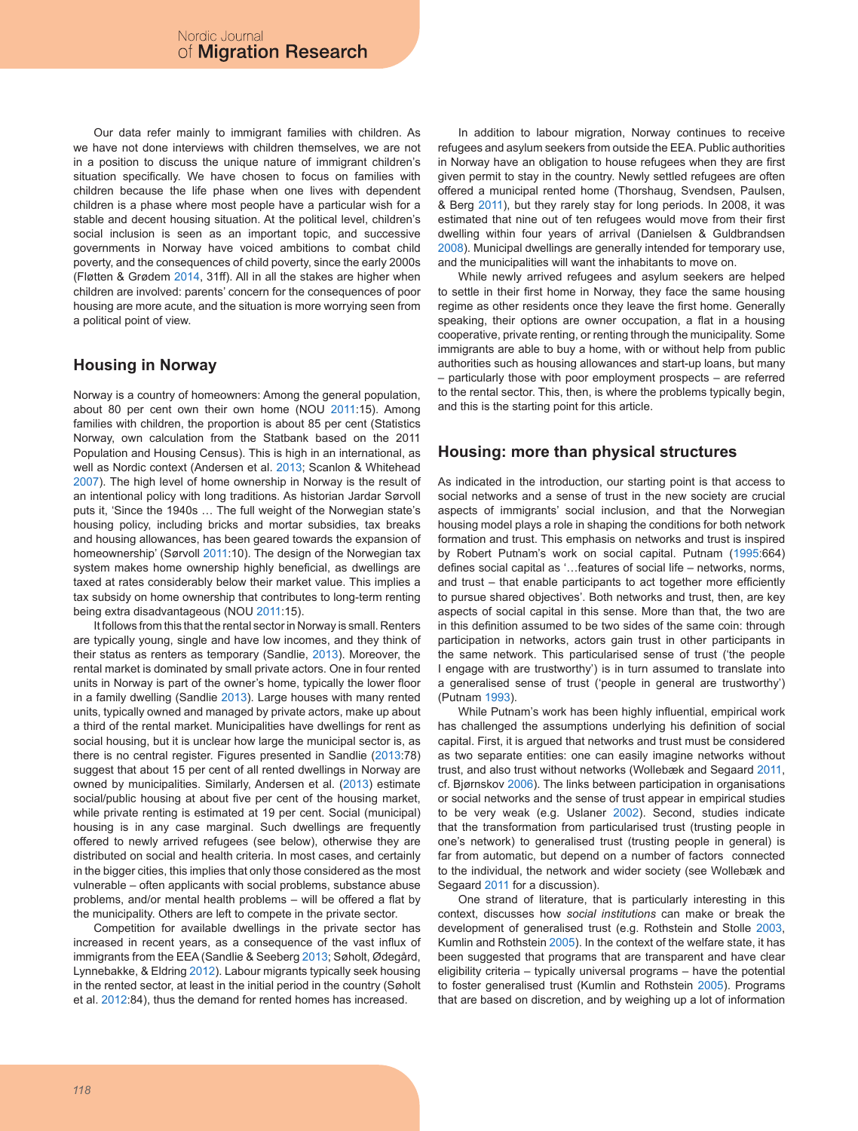Our data refer mainly to immigrant families with children. As we have not done interviews with children themselves, we are not in a position to discuss the unique nature of immigrant children's situation specifically. We have chosen to focus on families with children because the life phase when one lives with dependent children is a phase where most people have a particular wish for a stable and decent housing situation. At the political level, children's social inclusion is seen as an important topic, and successive governments in Norway have voiced ambitions to combat child poverty, and the consequences of child poverty, since the early 2000s (Fløtten & Grødem 2014, 31ff). All in all the stakes are higher when children are involved: parents' concern for the consequences of poor housing are more acute, and the situation is more worrying seen from a political point of view.

#### **Housing in Norway**

Norway is a country of homeowners: Among the general population, about 80 per cent own their own home (NOU 2011:15). Among families with children, the proportion is about 85 per cent (Statistics Norway, own calculation from the Statbank based on the 2011 Population and Housing Census). This is high in an international, as well as Nordic context (Andersen et al. 2013; Scanlon & Whitehead 2007). The high level of home ownership in Norway is the result of an intentional policy with long traditions. As historian Jardar Sørvoll puts it, 'Since the 1940s … The full weight of the Norwegian state's housing policy, including bricks and mortar subsidies, tax breaks and housing allowances, has been geared towards the expansion of homeownership' (Sørvoll 2011:10). The design of the Norwegian tax system makes home ownership highly beneficial, as dwellings are taxed at rates considerably below their market value. This implies a tax subsidy on home ownership that contributes to long-term renting being extra disadvantageous (NOU 2011:15).

It follows from this that the rental sector in Norway is small. Renters are typically young, single and have low incomes, and they think of their status as renters as temporary (Sandlie, 2013). Moreover, the rental market is dominated by small private actors. One in four rented units in Norway is part of the owner's home, typically the lower floor in a family dwelling (Sandlie 2013). Large houses with many rented units, typically owned and managed by private actors, make up about a third of the rental market. Municipalities have dwellings for rent as social housing, but it is unclear how large the municipal sector is, as there is no central register. Figures presented in Sandlie (2013:78) suggest that about 15 per cent of all rented dwellings in Norway are owned by municipalities. Similarly, Andersen et al. (2013) estimate social/public housing at about five per cent of the housing market, while private renting is estimated at 19 per cent. Social (municipal) housing is in any case marginal. Such dwellings are frequently offered to newly arrived refugees (see below), otherwise they are distributed on social and health criteria. In most cases, and certainly in the bigger cities, this implies that only those considered as the most vulnerable – often applicants with social problems, substance abuse problems, and/or mental health problems – will be offered a flat by the municipality. Others are left to compete in the private sector.

Competition for available dwellings in the private sector has increased in recent years, as a consequence of the vast influx of immigrants from the EEA (Sandlie & Seeberg 2013; Søholt, Ødegård, Lynnebakke, & Eldring 2012). Labour migrants typically seek housing in the rented sector, at least in the initial period in the country (Søholt et al. 2012:84), thus the demand for rented homes has increased.

In addition to labour migration, Norway continues to receive refugees and asylum seekers from outside the EEA. Public authorities in Norway have an obligation to house refugees when they are first given permit to stay in the country. Newly settled refugees are often offered a municipal rented home (Thorshaug, Svendsen, Paulsen, & Berg 2011), but they rarely stay for long periods. In 2008, it was estimated that nine out of ten refugees would move from their first dwelling within four years of arrival (Danielsen & Guldbrandsen 2008). Municipal dwellings are generally intended for temporary use, and the municipalities will want the inhabitants to move on.

While newly arrived refugees and asylum seekers are helped to settle in their first home in Norway, they face the same housing regime as other residents once they leave the first home. Generally speaking, their options are owner occupation, a flat in a housing cooperative, private renting, or renting through the municipality. Some immigrants are able to buy a home, with or without help from public authorities such as housing allowances and start-up loans, but many – particularly those with poor employment prospects – are referred to the rental sector. This, then, is where the problems typically begin, and this is the starting point for this article.

#### **Housing: more than physical structures**

As indicated in the introduction, our starting point is that access to social networks and a sense of trust in the new society are crucial aspects of immigrants' social inclusion, and that the Norwegian housing model plays a role in shaping the conditions for both network formation and trust. This emphasis on networks and trust is inspired by Robert Putnam's work on social capital. Putnam (1995:664) defines social capital as '…features of social life – networks, norms, and trust – that enable participants to act together more efficiently to pursue shared objectives'. Both networks and trust, then, are key aspects of social capital in this sense. More than that, the two are in this definition assumed to be two sides of the same coin: through participation in networks, actors gain trust in other participants in the same network. This particularised sense of trust ('the people I engage with are trustworthy') is in turn assumed to translate into a generalised sense of trust ('people in general are trustworthy') (Putnam 1993).

While Putnam's work has been highly influential, empirical work has challenged the assumptions underlying his definition of social capital. First, it is argued that networks and trust must be considered as two separate entities: one can easily imagine networks without trust, and also trust without networks (Wollebæk and Segaard 2011, cf. Bjørnskov 2006). The links between participation in organisations or social networks and the sense of trust appear in empirical studies to be very weak (e.g. Uslaner 2002). Second, studies indicate that the transformation from particularised trust (trusting people in one's network) to generalised trust (trusting people in general) is far from automatic, but depend on a number of factors connected to the individual, the network and wider society (see Wollebæk and Segaard 2011 for a discussion).

One strand of literature, that is particularly interesting in this context, discusses how *social institutions* can make or break the development of generalised trust (e.g. Rothstein and Stolle 2003, Kumlin and Rothstein 2005). In the context of the welfare state, it has been suggested that programs that are transparent and have clear eligibility criteria – typically universal programs – have the potential to foster generalised trust (Kumlin and Rothstein 2005). Programs that are based on discretion, and by weighing up a lot of information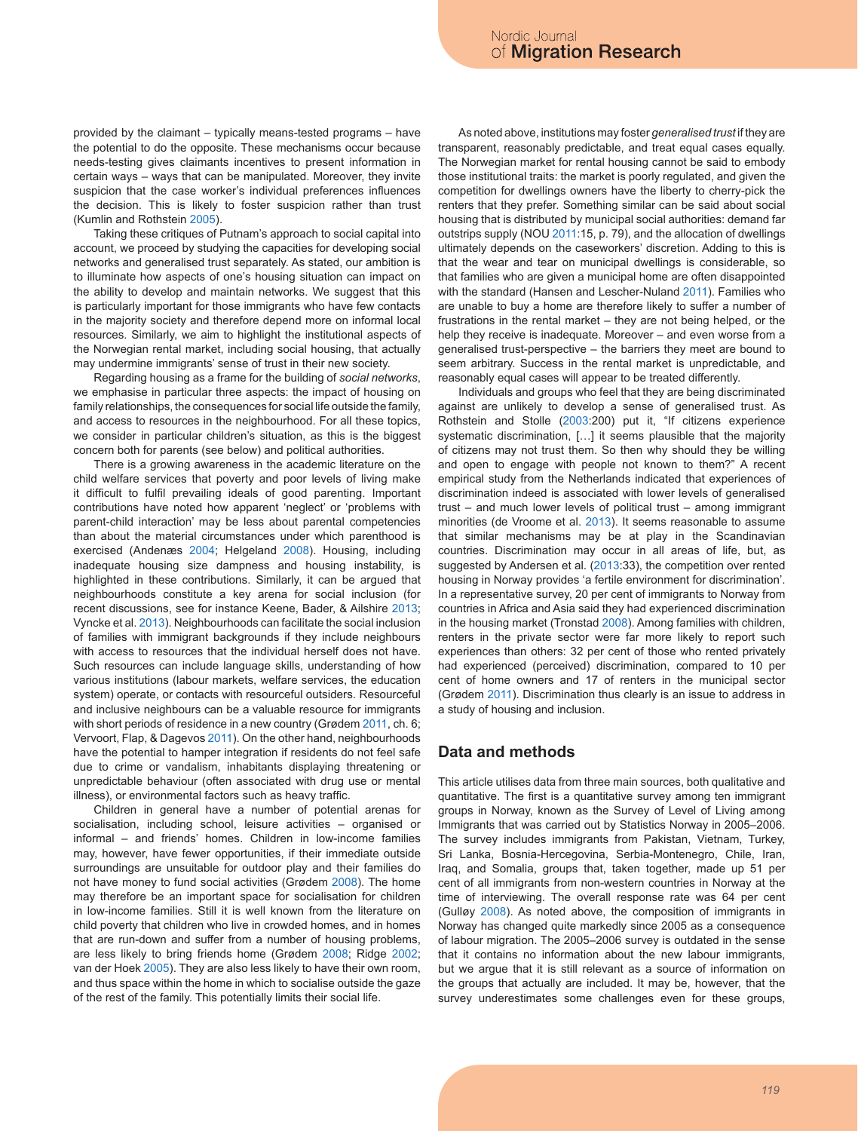provided by the claimant – typically means-tested programs – have the potential to do the opposite. These mechanisms occur because needs-testing gives claimants incentives to present information in certain ways – ways that can be manipulated. Moreover, they invite suspicion that the case worker's individual preferences influences the decision. This is likely to foster suspicion rather than trust (Kumlin and Rothstein 2005).

Taking these critiques of Putnam's approach to social capital into account, we proceed by studying the capacities for developing social networks and generalised trust separately. As stated, our ambition is to illuminate how aspects of one's housing situation can impact on the ability to develop and maintain networks. We suggest that this is particularly important for those immigrants who have few contacts in the majority society and therefore depend more on informal local resources. Similarly, we aim to highlight the institutional aspects of the Norwegian rental market, including social housing, that actually may undermine immigrants' sense of trust in their new society.

Regarding housing as a frame for the building of *social networks*, we emphasise in particular three aspects: the impact of housing on family relationships, the consequences for social life outside the family, and access to resources in the neighbourhood. For all these topics, we consider in particular children's situation, as this is the biggest concern both for parents (see below) and political authorities.

There is a growing awareness in the academic literature on the child welfare services that poverty and poor levels of living make it difficult to fulfil prevailing ideals of good parenting. Important contributions have noted how apparent 'neglect' or 'problems with parent-child interaction' may be less about parental competencies than about the material circumstances under which parenthood is exercised (Andenæs 2004; Helgeland 2008). Housing, including inadequate housing size dampness and housing instability, is highlighted in these contributions. Similarly, it can be argued that neighbourhoods constitute a key arena for social inclusion (for recent discussions, see for instance Keene, Bader, & Ailshire 2013; Vyncke et al. 2013). Neighbourhoods can facilitate the social inclusion of families with immigrant backgrounds if they include neighbours with access to resources that the individual herself does not have. Such resources can include language skills, understanding of how various institutions (labour markets, welfare services, the education system) operate, or contacts with resourceful outsiders. Resourceful and inclusive neighbours can be a valuable resource for immigrants with short periods of residence in a new country (Grødem 2011, ch. 6; Vervoort, Flap, & Dagevos 2011). On the other hand, neighbourhoods have the potential to hamper integration if residents do not feel safe due to crime or vandalism, inhabitants displaying threatening or unpredictable behaviour (often associated with drug use or mental illness), or environmental factors such as heavy traffic.

Children in general have a number of potential arenas for socialisation, including school, leisure activities – organised or informal – and friends' homes. Children in low-income families may, however, have fewer opportunities, if their immediate outside surroundings are unsuitable for outdoor play and their families do not have money to fund social activities (Grødem 2008). The home may therefore be an important space for socialisation for children in low-income families. Still it is well known from the literature on child poverty that children who live in crowded homes, and in homes that are run-down and suffer from a number of housing problems, are less likely to bring friends home (Grødem 2008; Ridge 2002; van der Hoek 2005). They are also less likely to have their own room, and thus space within the home in which to socialise outside the gaze of the rest of the family. This potentially limits their social life.

As noted above, institutions may foster *generalised trust* if they are transparent, reasonably predictable, and treat equal cases equally. The Norwegian market for rental housing cannot be said to embody those institutional traits: the market is poorly regulated, and given the competition for dwellings owners have the liberty to cherry-pick the renters that they prefer. Something similar can be said about social housing that is distributed by municipal social authorities: demand far outstrips supply (NOU 2011:15, p. 79), and the allocation of dwellings ultimately depends on the caseworkers' discretion. Adding to this is that the wear and tear on municipal dwellings is considerable, so that families who are given a municipal home are often disappointed with the standard (Hansen and Lescher-Nuland 2011). Families who are unable to buy a home are therefore likely to suffer a number of frustrations in the rental market – they are not being helped, or the help they receive is inadequate. Moreover – and even worse from a generalised trust-perspective – the barriers they meet are bound to seem arbitrary. Success in the rental market is unpredictable, and reasonably equal cases will appear to be treated differently.

Individuals and groups who feel that they are being discriminated against are unlikely to develop a sense of generalised trust. As Rothstein and Stolle (2003:200) put it, "If citizens experience systematic discrimination, […] it seems plausible that the majority of citizens may not trust them. So then why should they be willing and open to engage with people not known to them?" A recent empirical study from the Netherlands indicated that experiences of discrimination indeed is associated with lower levels of generalised trust – and much lower levels of political trust – among immigrant minorities (de Vroome et al. 2013). It seems reasonable to assume that similar mechanisms may be at play in the Scandinavian countries. Discrimination may occur in all areas of life, but, as suggested by Andersen et al. (2013:33), the competition over rented housing in Norway provides 'a fertile environment for discrimination'. In a representative survey, 20 per cent of immigrants to Norway from countries in Africa and Asia said they had experienced discrimination in the housing market (Tronstad 2008). Among families with children, renters in the private sector were far more likely to report such experiences than others: 32 per cent of those who rented privately had experienced (perceived) discrimination, compared to 10 per cent of home owners and 17 of renters in the municipal sector (Grødem 2011). Discrimination thus clearly is an issue to address in a study of housing and inclusion.

#### **Data and methods**

This article utilises data from three main sources, both qualitative and quantitative. The first is a quantitative survey among ten immigrant groups in Norway, known as the Survey of Level of Living among Immigrants that was carried out by Statistics Norway in 2005–2006. The survey includes immigrants from Pakistan, Vietnam, Turkey, Sri Lanka, Bosnia-Hercegovina, Serbia-Montenegro, Chile, Iran, Iraq, and Somalia, groups that, taken together, made up 51 per cent of all immigrants from non-western countries in Norway at the time of interviewing. The overall response rate was 64 per cent (Gulløy 2008). As noted above, the composition of immigrants in Norway has changed quite markedly since 2005 as a consequence of labour migration. The 2005–2006 survey is outdated in the sense that it contains no information about the new labour immigrants, but we argue that it is still relevant as a source of information on the groups that actually are included. It may be, however, that the survey underestimates some challenges even for these groups,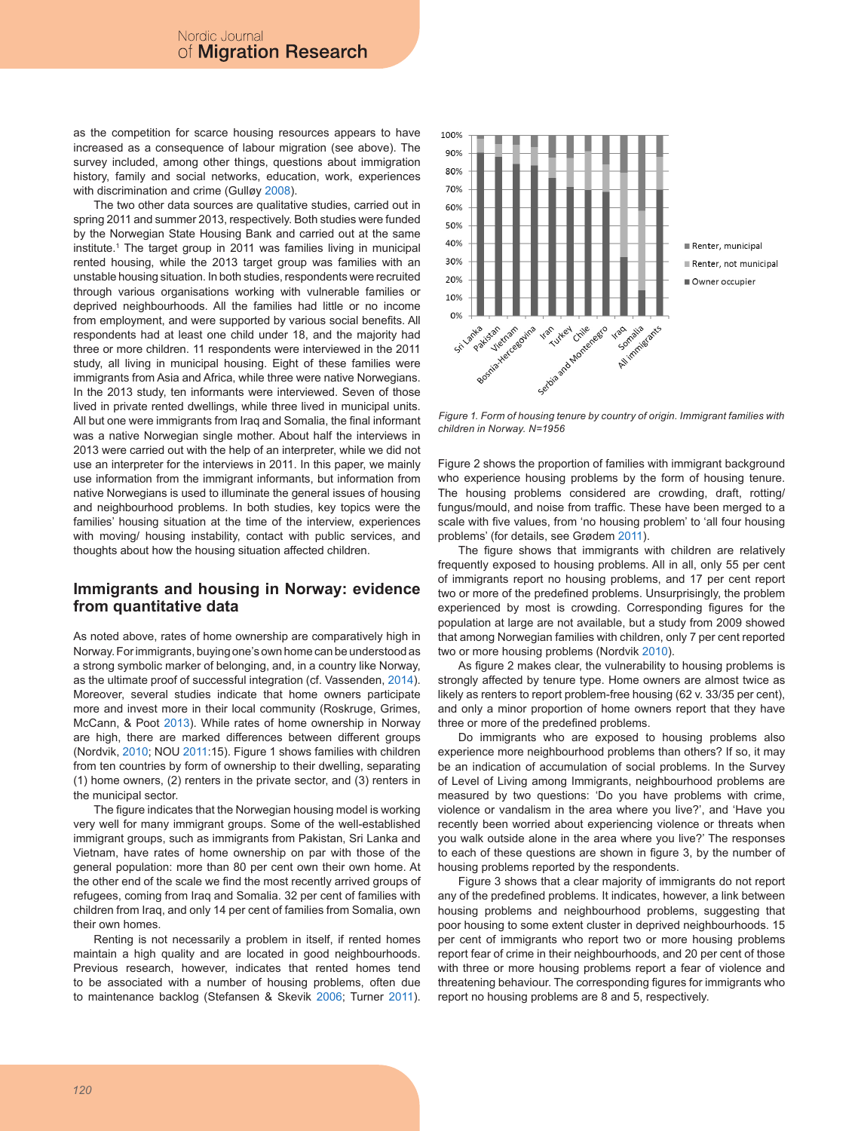as the competition for scarce housing resources appears to have increased as a consequence of labour migration (see above). The survey included, among other things, questions about immigration history, family and social networks, education, work, experiences with discrimination and crime (Gulløy 2008).

The two other data sources are qualitative studies, carried out in spring 2011 and summer 2013, respectively. Both studies were funded by the Norwegian State Housing Bank and carried out at the same institute.1 The target group in 2011 was families living in municipal rented housing, while the 2013 target group was families with an unstable housing situation. In both studies, respondents were recruited through various organisations working with vulnerable families or deprived neighbourhoods. All the families had little or no income from employment, and were supported by various social benefits. All respondents had at least one child under 18, and the majority had three or more children. 11 respondents were interviewed in the 2011 study, all living in municipal housing. Eight of these families were immigrants from Asia and Africa, while three were native Norwegians. In the 2013 study, ten informants were interviewed. Seven of those lived in private rented dwellings, while three lived in municipal units. All but one were immigrants from Iraq and Somalia, the final informant was a native Norwegian single mother. About half the interviews in 2013 were carried out with the help of an interpreter, while we did not use an interpreter for the interviews in 2011. In this paper, we mainly use information from the immigrant informants, but information from native Norwegians is used to illuminate the general issues of housing and neighbourhood problems. In both studies, key topics were the families' housing situation at the time of the interview, experiences with moving/ housing instability, contact with public services, and thoughts about how the housing situation affected children.

#### **Immigrants and housing in Norway: evidence from quantitative data**

As noted above, rates of home ownership are comparatively high in Norway. For immigrants, buying one's own home can be understood as a strong symbolic marker of belonging, and, in a country like Norway, as the ultimate proof of successful integration (cf. Vassenden, 2014). Moreover, several studies indicate that home owners participate more and invest more in their local community (Roskruge, Grimes, McCann, & Poot 2013). While rates of home ownership in Norway are high, there are marked differences between different groups (Nordvik, 2010; NOU 2011:15). Figure 1 shows families with children from ten countries by form of ownership to their dwelling, separating (1) home owners, (2) renters in the private sector, and (3) renters in the municipal sector.

The figure indicates that the Norwegian housing model is working very well for many immigrant groups. Some of the well-established immigrant groups, such as immigrants from Pakistan, Sri Lanka and Vietnam, have rates of home ownership on par with those of the general population: more than 80 per cent own their own home. At the other end of the scale we find the most recently arrived groups of refugees, coming from Iraq and Somalia. 32 per cent of families with children from Iraq, and only 14 per cent of families from Somalia, own their own homes.

Renting is not necessarily a problem in itself, if rented homes maintain a high quality and are located in good neighbourhoods. Previous research, however, indicates that rented homes tend to be associated with a number of housing problems, often due to maintenance backlog (Stefansen & Skevik 2006; Turner 2011).



*Figure 1. Form of housing tenure by country of origin. Immigrant families with children in Norway. N=1956*

Figure 2 shows the proportion of families with immigrant background who experience housing problems by the form of housing tenure. The housing problems considered are crowding, draft, rotting/ fungus/mould, and noise from traffic. These have been merged to a scale with five values, from 'no housing problem' to 'all four housing problems' (for details, see Grødem 2011).

The figure shows that immigrants with children are relatively frequently exposed to housing problems. All in all, only 55 per cent of immigrants report no housing problems, and 17 per cent report two or more of the predefined problems. Unsurprisingly, the problem experienced by most is crowding. Corresponding figures for the population at large are not available, but a study from 2009 showed that among Norwegian families with children, only 7 per cent reported two or more housing problems (Nordvik 2010).

As figure 2 makes clear, the vulnerability to housing problems is strongly affected by tenure type. Home owners are almost twice as likely as renters to report problem-free housing (62 v. 33/35 per cent), and only a minor proportion of home owners report that they have three or more of the predefined problems.

Do immigrants who are exposed to housing problems also experience more neighbourhood problems than others? If so, it may be an indication of accumulation of social problems. In the Survey of Level of Living among Immigrants, neighbourhood problems are measured by two questions: 'Do you have problems with crime, violence or vandalism in the area where you live?', and 'Have you recently been worried about experiencing violence or threats when you walk outside alone in the area where you live?' The responses to each of these questions are shown in figure 3, by the number of housing problems reported by the respondents.

Figure 3 shows that a clear majority of immigrants do not report any of the predefined problems. It indicates, however, a link between housing problems and neighbourhood problems, suggesting that poor housing to some extent cluster in deprived neighbourhoods. 15 per cent of immigrants who report two or more housing problems report fear of crime in their neighbourhoods, and 20 per cent of those with three or more housing problems report a fear of violence and threatening behaviour. The corresponding figures for immigrants who report no housing problems are 8 and 5, respectively.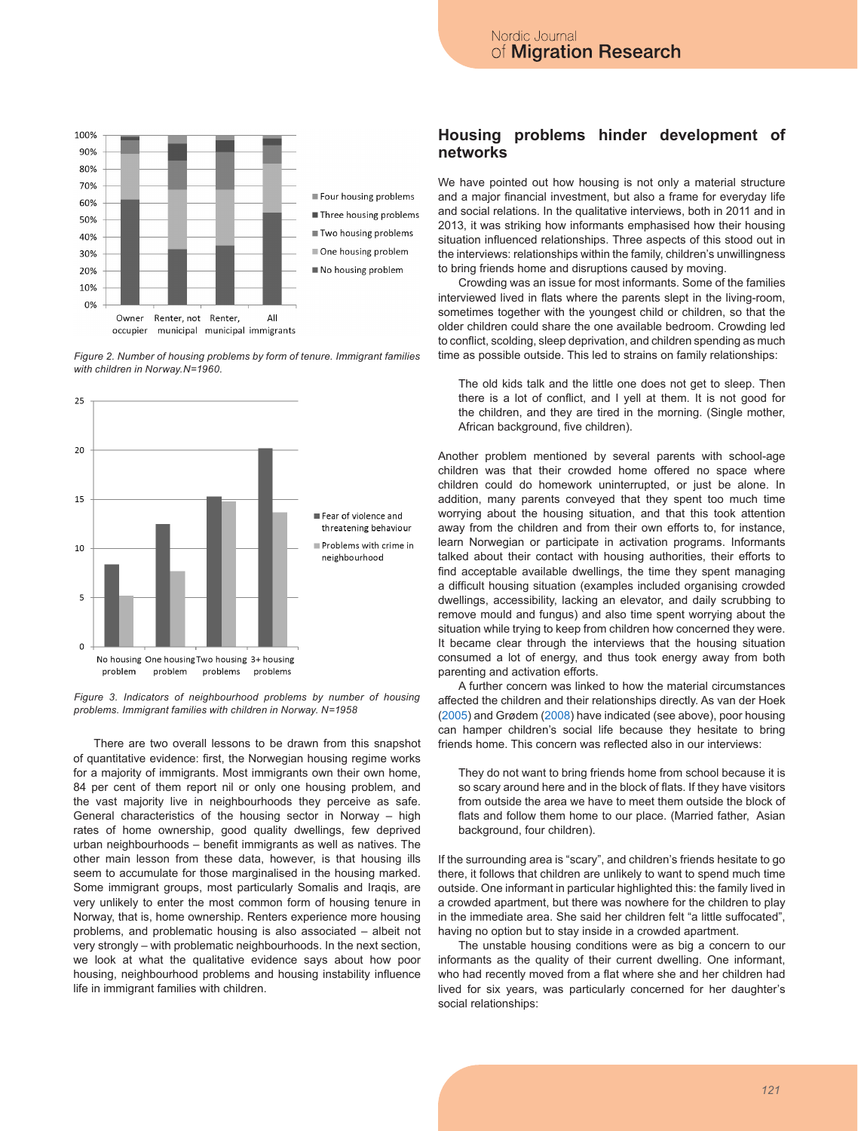

*Figure 2. Number of housing problems by form of tenure. Immigrant families with children in Norway.N=1960.*



*Figure 3. Indicators of neighbourhood problems by number of housing problems. Immigrant families with children in Norway. N=1958*

There are two overall lessons to be drawn from this snapshot of quantitative evidence: first, the Norwegian housing regime works for a majority of immigrants. Most immigrants own their own home, 84 per cent of them report nil or only one housing problem, and the vast majority live in neighbourhoods they perceive as safe. General characteristics of the housing sector in Norway – high rates of home ownership, good quality dwellings, few deprived urban neighbourhoods – benefit immigrants as well as natives. The other main lesson from these data, however, is that housing ills seem to accumulate for those marginalised in the housing marked. Some immigrant groups, most particularly Somalis and Iraqis, are very unlikely to enter the most common form of housing tenure in Norway, that is, home ownership. Renters experience more housing problems, and problematic housing is also associated – albeit not very strongly – with problematic neighbourhoods. In the next section, we look at what the qualitative evidence says about how poor housing, neighbourhood problems and housing instability influence life in immigrant families with children.

### **Housing problems hinder development of networks**

We have pointed out how housing is not only a material structure and a major financial investment, but also a frame for everyday life and social relations. In the qualitative interviews, both in 2011 and in 2013, it was striking how informants emphasised how their housing situation influenced relationships. Three aspects of this stood out in the interviews: relationships within the family, children's unwillingness to bring friends home and disruptions caused by moving.

Crowding was an issue for most informants. Some of the families interviewed lived in flats where the parents slept in the living-room, sometimes together with the youngest child or children, so that the older children could share the one available bedroom. Crowding led to conflict, scolding, sleep deprivation, and children spending as much time as possible outside. This led to strains on family relationships:

The old kids talk and the little one does not get to sleep. Then there is a lot of conflict, and I yell at them. It is not good for the children, and they are tired in the morning. (Single mother, African background, five children).

Another problem mentioned by several parents with school-age children was that their crowded home offered no space where children could do homework uninterrupted, or just be alone. In addition, many parents conveyed that they spent too much time worrying about the housing situation, and that this took attention away from the children and from their own efforts to, for instance, learn Norwegian or participate in activation programs. Informants talked about their contact with housing authorities, their efforts to find acceptable available dwellings, the time they spent managing a difficult housing situation (examples included organising crowded dwellings, accessibility, lacking an elevator, and daily scrubbing to remove mould and fungus) and also time spent worrying about the situation while trying to keep from children how concerned they were. It became clear through the interviews that the housing situation consumed a lot of energy, and thus took energy away from both parenting and activation efforts.

A further concern was linked to how the material circumstances affected the children and their relationships directly. As van der Hoek (2005) and Grødem (2008) have indicated (see above), poor housing can hamper children's social life because they hesitate to bring friends home. This concern was reflected also in our interviews:

They do not want to bring friends home from school because it is so scary around here and in the block of flats. If they have visitors from outside the area we have to meet them outside the block of flats and follow them home to our place. (Married father, Asian background, four children).

If the surrounding area is "scary", and children's friends hesitate to go there, it follows that children are unlikely to want to spend much time outside. One informant in particular highlighted this: the family lived in a crowded apartment, but there was nowhere for the children to play in the immediate area. She said her children felt "a little suffocated", having no option but to stay inside in a crowded apartment.

The unstable housing conditions were as big a concern to our informants as the quality of their current dwelling. One informant, who had recently moved from a flat where she and her children had lived for six years, was particularly concerned for her daughter's social relationships: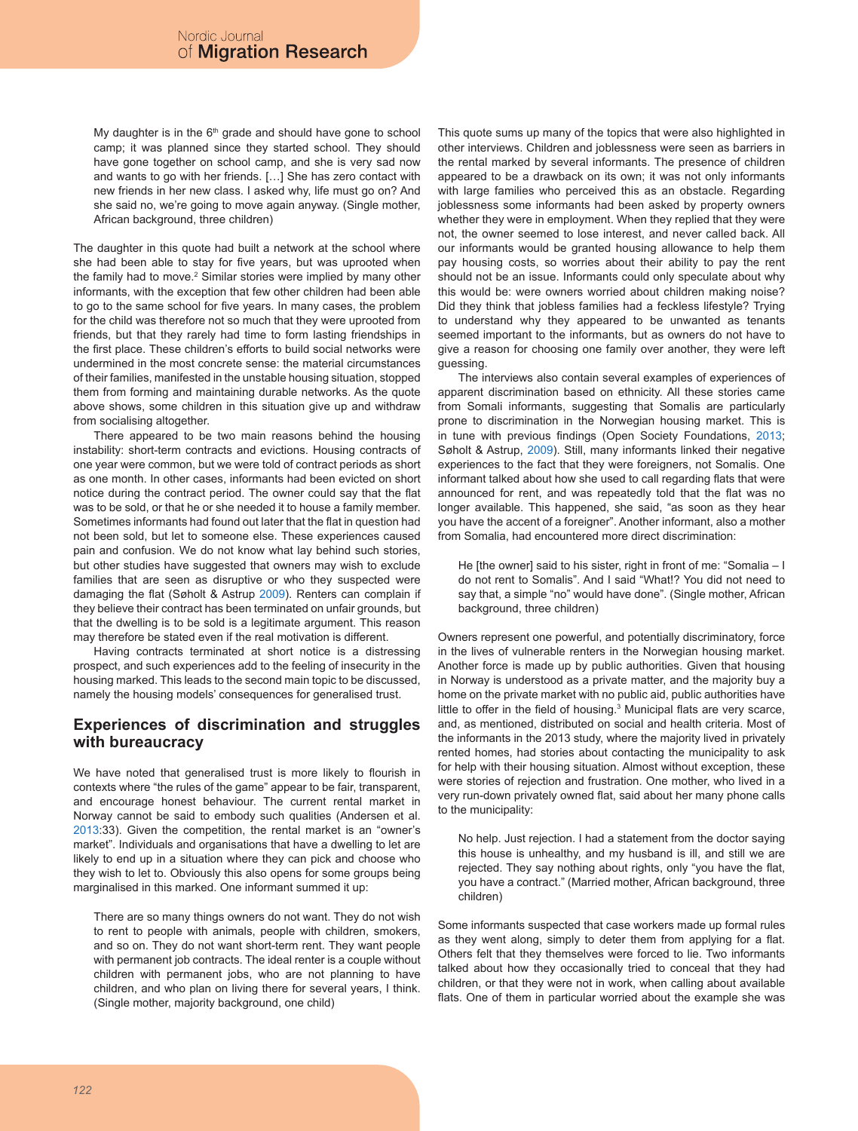My daughter is in the  $6<sup>th</sup>$  grade and should have gone to school camp; it was planned since they started school. They should have gone together on school camp, and she is very sad now and wants to go with her friends. […] She has zero contact with new friends in her new class. I asked why, life must go on? And she said no, we're going to move again anyway. (Single mother, African background, three children)

The daughter in this quote had built a network at the school where she had been able to stay for five years, but was uprooted when the family had to move.<sup>2</sup> Similar stories were implied by many other informants, with the exception that few other children had been able to go to the same school for five years. In many cases, the problem for the child was therefore not so much that they were uprooted from friends, but that they rarely had time to form lasting friendships in the first place. These children's efforts to build social networks were undermined in the most concrete sense: the material circumstances of their families, manifested in the unstable housing situation, stopped them from forming and maintaining durable networks. As the quote above shows, some children in this situation give up and withdraw from socialising altogether.

There appeared to be two main reasons behind the housing instability: short-term contracts and evictions. Housing contracts of one year were common, but we were told of contract periods as short as one month. In other cases, informants had been evicted on short notice during the contract period. The owner could say that the flat was to be sold, or that he or she needed it to house a family member. Sometimes informants had found out later that the flat in question had not been sold, but let to someone else. These experiences caused pain and confusion. We do not know what lay behind such stories, but other studies have suggested that owners may wish to exclude families that are seen as disruptive or who they suspected were damaging the flat (Søholt & Astrup 2009). Renters can complain if they believe their contract has been terminated on unfair grounds, but that the dwelling is to be sold is a legitimate argument. This reason may therefore be stated even if the real motivation is different.

Having contracts terminated at short notice is a distressing prospect, and such experiences add to the feeling of insecurity in the housing marked. This leads to the second main topic to be discussed, namely the housing models' consequences for generalised trust.

### **Experiences of discrimination and struggles with bureaucracy**

We have noted that generalised trust is more likely to flourish in contexts where "the rules of the game" appear to be fair, transparent, and encourage honest behaviour. The current rental market in Norway cannot be said to embody such qualities (Andersen et al. 2013:33). Given the competition, the rental market is an "owner's market". Individuals and organisations that have a dwelling to let are likely to end up in a situation where they can pick and choose who they wish to let to. Obviously this also opens for some groups being marginalised in this marked. One informant summed it up:

There are so many things owners do not want. They do not wish to rent to people with animals, people with children, smokers, and so on. They do not want short-term rent. They want people with permanent job contracts. The ideal renter is a couple without children with permanent jobs, who are not planning to have children, and who plan on living there for several years, I think. (Single mother, majority background, one child)

This quote sums up many of the topics that were also highlighted in other interviews. Children and joblessness were seen as barriers in the rental marked by several informants. The presence of children appeared to be a drawback on its own; it was not only informants with large families who perceived this as an obstacle. Regarding joblessness some informants had been asked by property owners whether they were in employment. When they replied that they were not, the owner seemed to lose interest, and never called back. All our informants would be granted housing allowance to help them pay housing costs, so worries about their ability to pay the rent should not be an issue. Informants could only speculate about why this would be: were owners worried about children making noise? Did they think that jobless families had a feckless lifestyle? Trying to understand why they appeared to be unwanted as tenants seemed important to the informants, but as owners do not have to give a reason for choosing one family over another, they were left guessing.

The interviews also contain several examples of experiences of apparent discrimination based on ethnicity. All these stories came from Somali informants, suggesting that Somalis are particularly prone to discrimination in the Norwegian housing market. This is in tune with previous findings (Open Society Foundations, 2013; Søholt & Astrup, 2009). Still, many informants linked their negative experiences to the fact that they were foreigners, not Somalis. One informant talked about how she used to call regarding flats that were announced for rent, and was repeatedly told that the flat was no longer available. This happened, she said, "as soon as they hear you have the accent of a foreigner". Another informant, also a mother from Somalia, had encountered more direct discrimination:

He [the owner] said to his sister, right in front of me: "Somalia – I do not rent to Somalis". And I said "What!? You did not need to say that, a simple "no" would have done". (Single mother, African background, three children)

Owners represent one powerful, and potentially discriminatory, force in the lives of vulnerable renters in the Norwegian housing market. Another force is made up by public authorities. Given that housing in Norway is understood as a private matter, and the majority buy a home on the private market with no public aid, public authorities have little to offer in the field of housing.<sup>3</sup> Municipal flats are very scarce, and, as mentioned, distributed on social and health criteria. Most of the informants in the 2013 study, where the majority lived in privately rented homes, had stories about contacting the municipality to ask for help with their housing situation. Almost without exception, these were stories of rejection and frustration. One mother, who lived in a very run-down privately owned flat, said about her many phone calls to the municipality:

No help. Just rejection. I had a statement from the doctor saying this house is unhealthy, and my husband is ill, and still we are rejected. They say nothing about rights, only "you have the flat, you have a contract." (Married mother, African background, three children)

Some informants suspected that case workers made up formal rules as they went along, simply to deter them from applying for a flat. Others felt that they themselves were forced to lie. Two informants talked about how they occasionally tried to conceal that they had children, or that they were not in work, when calling about available flats. One of them in particular worried about the example she was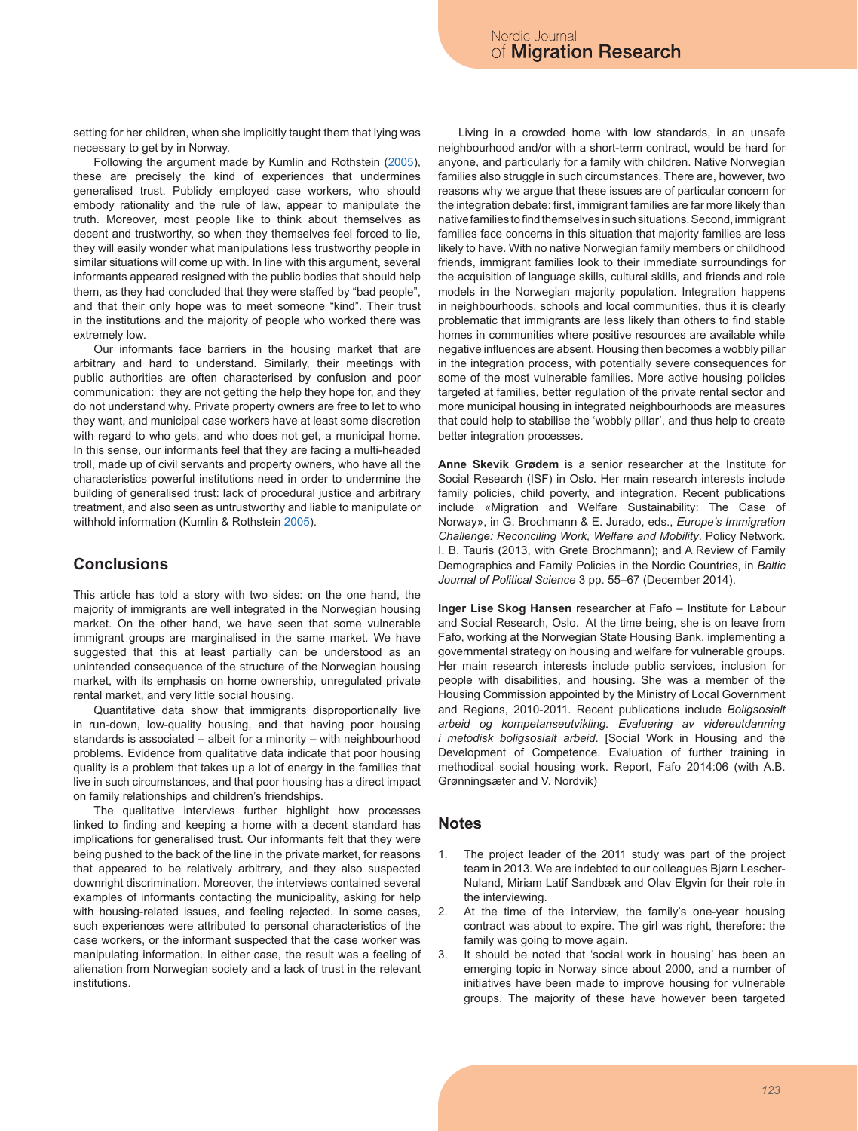setting for her children, when she implicitly taught them that lying was necessary to get by in Norway.

Following the argument made by Kumlin and Rothstein (2005), these are precisely the kind of experiences that undermines generalised trust. Publicly employed case workers, who should embody rationality and the rule of law, appear to manipulate the truth. Moreover, most people like to think about themselves as decent and trustworthy, so when they themselves feel forced to lie, they will easily wonder what manipulations less trustworthy people in similar situations will come up with. In line with this argument, several informants appeared resigned with the public bodies that should help them, as they had concluded that they were staffed by "bad people", and that their only hope was to meet someone "kind". Their trust in the institutions and the majority of people who worked there was extremely low.

Our informants face barriers in the housing market that are arbitrary and hard to understand. Similarly, their meetings with public authorities are often characterised by confusion and poor communication: they are not getting the help they hope for, and they do not understand why. Private property owners are free to let to who they want, and municipal case workers have at least some discretion with regard to who gets, and who does not get, a municipal home. In this sense, our informants feel that they are facing a multi-headed troll, made up of civil servants and property owners, who have all the characteristics powerful institutions need in order to undermine the building of generalised trust: lack of procedural justice and arbitrary treatment, and also seen as untrustworthy and liable to manipulate or withhold information (Kumlin & Rothstein 2005).

# **Conclusions**

This article has told a story with two sides: on the one hand, the majority of immigrants are well integrated in the Norwegian housing market. On the other hand, we have seen that some vulnerable immigrant groups are marginalised in the same market. We have suggested that this at least partially can be understood as an unintended consequence of the structure of the Norwegian housing market, with its emphasis on home ownership, unregulated private rental market, and very little social housing.

Quantitative data show that immigrants disproportionally live in run-down, low-quality housing, and that having poor housing standards is associated – albeit for a minority – with neighbourhood problems. Evidence from qualitative data indicate that poor housing quality is a problem that takes up a lot of energy in the families that live in such circumstances, and that poor housing has a direct impact on family relationships and children's friendships.

The qualitative interviews further highlight how processes linked to finding and keeping a home with a decent standard has implications for generalised trust. Our informants felt that they were being pushed to the back of the line in the private market, for reasons that appeared to be relatively arbitrary, and they also suspected downright discrimination. Moreover, the interviews contained several examples of informants contacting the municipality, asking for help with housing-related issues, and feeling rejected. In some cases, such experiences were attributed to personal characteristics of the case workers, or the informant suspected that the case worker was manipulating information. In either case, the result was a feeling of alienation from Norwegian society and a lack of trust in the relevant institutions.

Living in a crowded home with low standards, in an unsafe neighbourhood and/or with a short-term contract, would be hard for anyone, and particularly for a family with children. Native Norwegian families also struggle in such circumstances. There are, however, two reasons why we argue that these issues are of particular concern for the integration debate: first, immigrant families are far more likely than native families to find themselves in such situations. Second, immigrant families face concerns in this situation that majority families are less likely to have. With no native Norwegian family members or childhood friends, immigrant families look to their immediate surroundings for the acquisition of language skills, cultural skills, and friends and role models in the Norwegian majority population. Integration happens in neighbourhoods, schools and local communities, thus it is clearly problematic that immigrants are less likely than others to find stable homes in communities where positive resources are available while negative influences are absent. Housing then becomes a wobbly pillar in the integration process, with potentially severe consequences for some of the most vulnerable families. More active housing policies targeted at families, better regulation of the private rental sector and more municipal housing in integrated neighbourhoods are measures that could help to stabilise the 'wobbly pillar', and thus help to create better integration processes.

**Anne Skevik Grødem** is a senior researcher at the Institute for Social Research (ISF) in Oslo. Her main research interests include family policies, child poverty, and integration. Recent publications include «Migration and Welfare Sustainability: The Case of Norway», in G. Brochmann & E. Jurado, eds., *Europe's Immigration Challenge: Reconciling Work, Welfare and Mobility*. Policy Network. I. B. Tauris (2013, with Grete Brochmann); and A Review of Family Demographics and Family Policies in the Nordic Countries, in *Baltic Journal of Political Science* 3 pp. 55–67 (December 2014).

**Inger Lise Skog Hansen** researcher at Fafo – Institute for Labour and Social Research, Oslo. At the time being, she is on leave from Fafo, working at the Norwegian State Housing Bank, implementing a governmental strategy on housing and welfare for vulnerable groups. Her main research interests include public services, inclusion for people with disabilities, and housing. She was a member of the Housing Commission appointed by the Ministry of Local Government and Regions, 2010-2011. Recent publications include *Boligsosialt arbeid og kompetanseutvikling. Evaluering av videreutdanning i metodisk boligsosialt arbeid*. [Social Work in Housing and the Development of Competence. Evaluation of further training in methodical social housing work. Report, Fafo 2014:06 (with A.B. Grønningsæter and V. Nordvik)

#### **Notes**

- 1. The project leader of the 2011 study was part of the project team in 2013. We are indebted to our colleagues Bjørn Lescher-Nuland, Miriam Latif Sandbæk and Olav Elgvin for their role in the interviewing.
- 2. At the time of the interview, the family's one-year housing contract was about to expire. The girl was right, therefore: the family was going to move again.
- 3. It should be noted that 'social work in housing' has been an emerging topic in Norway since about 2000, and a number of initiatives have been made to improve housing for vulnerable groups. The majority of these have however been targeted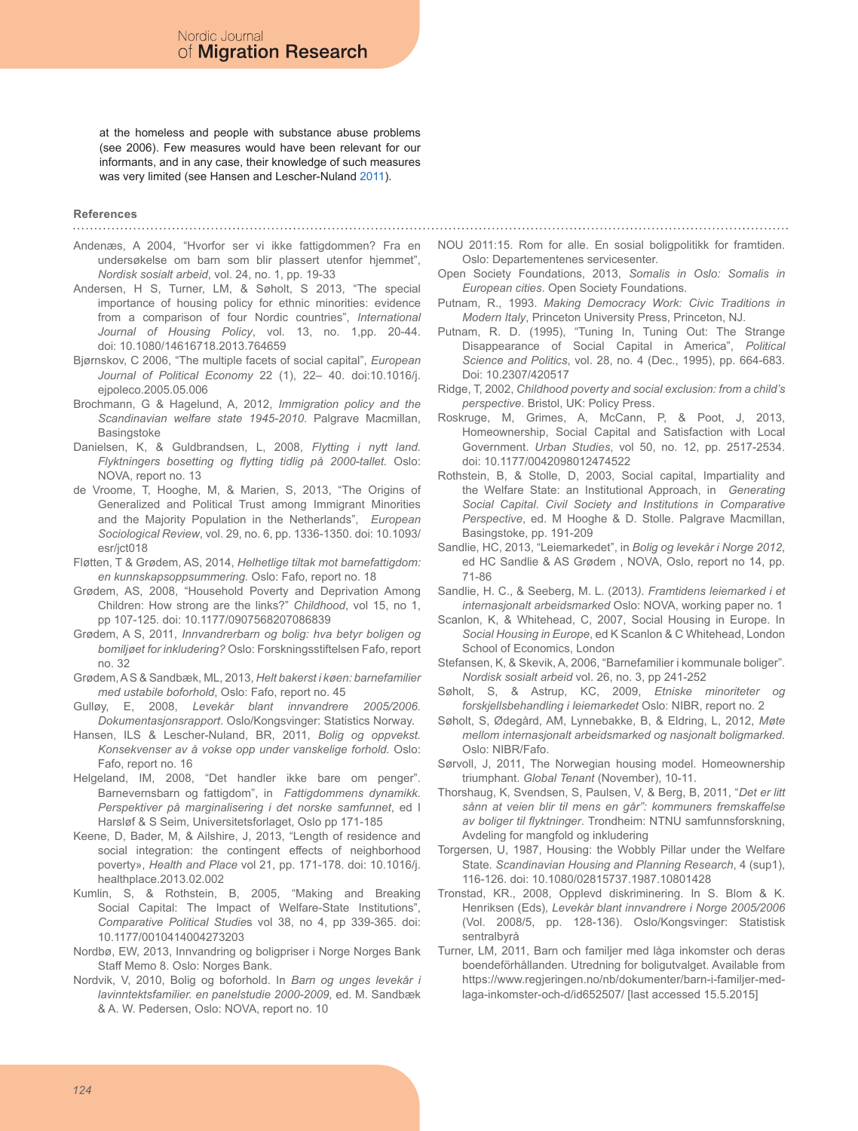at the homeless and people with substance abuse problems (see 2006). Few measures would have been relevant for our informants, and in any case, their knowledge of such measures was very limited (see Hansen and Lescher-Nuland 2011).

#### **References**

- Andenæs, A 2004, "Hvorfor ser vi ikke fattigdommen? Fra en undersøkelse om barn som blir plassert utenfor hjemmet", *Nordisk sosialt arbeid*, vol. 24, no. 1, pp. 19-33
- Andersen, H S, Turner, LM, & Søholt, S 2013, "The special importance of housing policy for ethnic minorities: evidence from a comparison of four Nordic countries", *International Journal of Housing Policy*, vol. 13, no. 1,pp. 20-44. doi: 10.1080/14616718.2013.764659
- Bjørnskov, C 2006, "The multiple facets of social capital", *European Journal of Political Economy* 22 (1), 22– 40. doi:10.1016/j. ejpoleco.2005.05.006
- Brochmann, G & Hagelund, A, 2012, *Immigration policy and the Scandinavian welfare state 1945-2010*. Palgrave Macmillan, Basingstoke
- Danielsen, K, & Guldbrandsen, L, 2008, *Flytting i nytt land. Flyktningers bosetting og flytting tidlig på 2000-tallet.* Oslo: NOVA, report no. 13
- de Vroome, T, Hooghe, M, & Marien, S, 2013, "The Origins of Generalized and Political Trust among Immigrant Minorities and the Majority Population in the Netherlands", *European Sociological Review*, vol. 29, no. 6, pp. 1336-1350. doi: 10.1093/ esr/jct018
- Fløtten, T & Grødem, AS, 2014, *Helhetlige tiltak mot barnefattigdom: en kunnskapsoppsummering.* Oslo: Fafo, report no. 18
- Grødem, AS, 2008, "Household Poverty and Deprivation Among Children: How strong are the links?" *Childhood*, vol 15, no 1, pp 107-125. doi: 10.1177/0907568207086839
- Grødem, A S, 2011, *Innvandrerbarn og bolig: hva betyr boligen og bomiljøet for inkludering?* Oslo: Forskningsstiftelsen Fafo, report no. 32
- Grødem, A S & Sandbæk, ML, 2013, *Helt bakerst i køen: barnefamilier med ustabile boforhold*, Oslo: Fafo, report no. 45
- Gulløy, E, 2008, *Levekår blant innvandrere 2005/2006. Dokumentasjonsrapport*. Oslo/Kongsvinger: Statistics Norway.
- Hansen, ILS & Lescher-Nuland, BR, 2011, *Bolig og oppvekst. Konsekvenser av å vokse opp under vanskelige forhold.* Oslo: Fafo, report no. 16
- Helgeland, IM, 2008, "Det handler ikke bare om penger". Barnevernsbarn og fattigdom", in *Fattigdommens dynamikk. Perspektiver på marginalisering i det norske samfunnet*, ed I Harsløf & S Seim, Universitetsforlaget, Oslo pp 171-185
- Keene, D, Bader, M, & Ailshire, J, 2013, "Length of residence and social integration: the contingent effects of neighborhood poverty», *Health and Place* vol 21, pp. 171-178. doi: 10.1016/j. healthplace.2013.02.002
- Kumlin, S, & Rothstein, B, 2005, "Making and Breaking Social Capital: The Impact of Welfare-State Institutions", *Comparative Political Studie*s vol 38, no 4, pp 339-365. doi: 10.1177/0010414004273203
- Nordbø, EW, 2013, Innvandring og boligpriser i Norge Norges Bank Staff Memo 8. Oslo: Norges Bank.
- Nordvik, V, 2010, Bolig og boforhold. In *Barn og unges levekår i lavinntektsfamilier. en panelstudie 2000-2009,* ed. M. Sandbæk & A. W. Pedersen, Oslo: NOVA, report no. 10
- NOU 2011:15. Rom for alle. En sosial boligpolitikk for framtiden. Oslo: Departementenes servicesenter.
- Open Society Foundations, 2013, *Somalis in Oslo: Somalis in European cities*. Open Society Foundations.
- Putnam, R., 1993. *Making Democracy Work: Civic Traditions in Modern Italy*, Princeton University Press, Princeton, NJ.
- Putnam, R. D. (1995), "Tuning In, Tuning Out: The Strange Disappearance of Social Capital in America", *Political Science and Politics*, vol. 28, no. 4 (Dec., 1995), pp. 664-683. Doi: 10.2307/420517
- Ridge, T, 2002, *Childhood poverty and social exclusion: from a child's perspective*. Bristol, UK: Policy Press.
- Roskruge, M, Grimes, A, McCann, P, & Poot, J, 2013, Homeownership, Social Capital and Satisfaction with Local Government. *Urban Studies*, vol 50, no. 12, pp. 2517-2534. doi: 10.1177/0042098012474522
- Rothstein, B, & Stolle, D, 2003, Social capital, Impartiality and the Welfare State: an Institutional Approach, in *Generating Social Capital. Civil Society and Institutions in Comparative Perspective*, ed. M Hooghe & D. Stolle. Palgrave Macmillan, Basingstoke, pp. 191-209
- Sandlie, HC, 2013, "Leiemarkedet", in *Bolig og levekår i Norge 2012*, ed HC Sandlie & AS Grødem , NOVA, Oslo, report no 14, pp. 71-86
- Sandlie, H. C., & Seeberg, M. L. (2013*). Framtidens leiemarked i et internasjonalt arbeidsmarked* Oslo: NOVA, working paper no. 1
- Scanlon, K, & Whitehead, C, 2007, Social Housing in Europe. In *Social Housing in Europe*, ed K Scanlon & C Whitehead, London School of Economics, London
- Stefansen, K, & Skevik, A, 2006, "Barnefamilier i kommunale boliger". *Nordisk sosialt arbeid* vol. 26, no. 3, pp 241-252
- Søholt, S, & Astrup, KC, 2009, *Etniske minoriteter og forskjellsbehandling i leiemarkedet* Oslo: NIBR, report no. 2
- Søholt, S, Ødegård, AM, Lynnebakke, B, & Eldring, L, 2012, *Møte mellom internasjonalt arbeidsmarked og nasjonalt boligmarked.* Oslo: NIBR/Fafo.
- Sørvoll, J, 2011, The Norwegian housing model. Homeownership triumphant. *Global Tenant* (November), 10-11.
- Thorshaug, K, Svendsen, S, Paulsen, V, & Berg, B, 2011, "*Det er litt sånn at veien blir til mens en går": kommuners fremskaffelse av boliger til flyktninger*. Trondheim: NTNU samfunnsforskning, Avdeling for mangfold og inkludering
- Torgersen, U, 1987, Housing: the Wobbly Pillar under the Welfare State*. Scandinavian Housing and Planning Research*, 4 (sup1), 116-126. doi: 10.1080/02815737.1987.10801428
- Tronstad, KR., 2008, Opplevd diskriminering. In S. Blom & K. Henriksen (Eds)*, Levekår blant innvandrere i Norge 2005/2006* (Vol. 2008/5, pp. 128-136). Oslo/Kongsvinger: Statistisk sentralbyrå
- Turner, LM, 2011, Barn och familjer med låga inkomster och deras boendeförhållanden. Utredning for boligutvalget. Available from https://www.regjeringen.no/nb/dokumenter/barn-i-familjer-medlaga-inkomster-och-d/id652507/ [last accessed 15.5.2015]